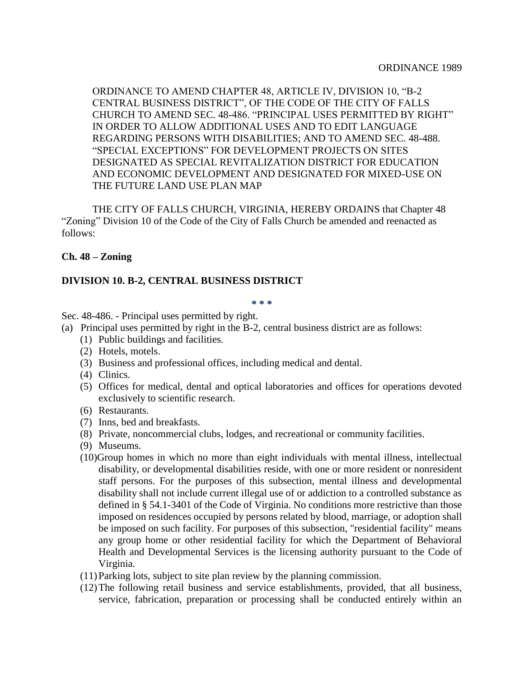ORDINANCE TO AMEND CHAPTER 48, ARTICLE IV, DIVISION 10, "B-2 CENTRAL BUSINESS DISTRICT", OF THE CODE OF THE CITY OF FALLS CHURCH TO AMEND SEC. 48-486. "PRINCIPAL USES PERMITTED BY RIGHT" IN ORDER TO ALLOW ADDITIONAL USES AND TO EDIT LANGUAGE REGARDING PERSONS WITH DISABILITIES; AND TO AMEND SEC. 48-488. "SPECIAL EXCEPTIONS" FOR DEVELOPMENT PROJECTS ON SITES DESIGNATED AS SPECIAL REVITALIZATION DISTRICT FOR EDUCATION AND ECONOMIC DEVELOPMENT AND DESIGNATED FOR MIXED-USE ON THE FUTURE LAND USE PLAN MAP

THE CITY OF FALLS CHURCH, VIRGINIA, HEREBY ORDAINS that Chapter 48 "Zoning" Division 10 of the Code of the City of Falls Church be amended and reenacted as follows:

## **Ch. 48 – Zoning**

## **DIVISION 10. B-2, CENTRAL BUSINESS DISTRICT**

## **\* \* \***

Sec. 48-486. - Principal uses permitted by right.

- (a) Principal uses permitted by right in the B-2, central business district are as follows:
	- (1) Public buildings and facilities.
	- (2) Hotels, motels.
	- (3) Business and professional offices, including medical and dental.
	- (4) Clinics.
	- (5) Offices for medical, dental and optical laboratories and offices for operations devoted exclusively to scientific research.
	- (6) Restaurants.
	- (7) Inns, bed and breakfasts.
	- (8) Private, noncommercial clubs, lodges, and recreational or community facilities.
	- (9) Museums.
	- (10)Group homes in which no more than eight individuals with mental illness, intellectual disability, or developmental disabilities reside, with one or more resident or nonresident staff persons. For the purposes of this subsection, mental illness and developmental disability shall not include current illegal use of or addiction to a controlled substance as defined in § 54.1-3401 of the Code of Virginia. No conditions more restrictive than those imposed on residences occupied by persons related by blood, marriage, or adoption shall be imposed on such facility. For purposes of this subsection, "residential facility" means any group home or other residential facility for which the Department of Behavioral Health and Developmental Services is the licensing authority pursuant to the Code of Virginia.
	- (11)Parking lots, subject to site plan review by the planning commission.
	- (12)The following retail business and service establishments, provided, that all business, service, fabrication, preparation or processing shall be conducted entirely within an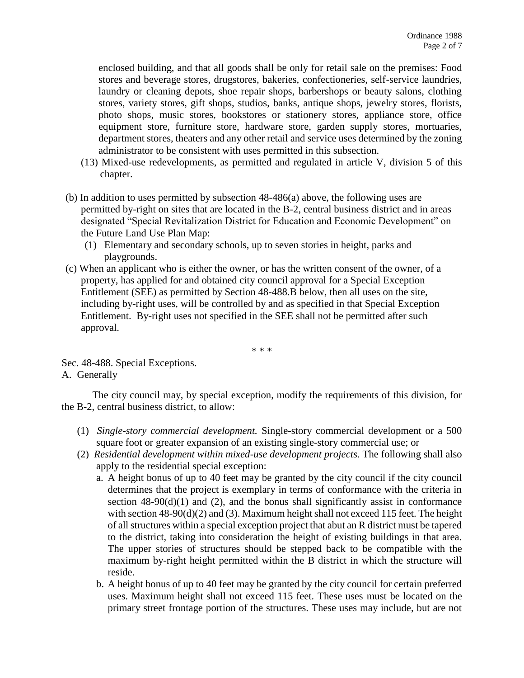enclosed building, and that all goods shall be only for retail sale on the premises: Food stores and beverage stores, drugstores, bakeries, confectioneries, self-service laundries, laundry or cleaning depots, shoe repair shops, barbershops or beauty salons, clothing stores, variety stores, gift shops, studios, banks, antique shops, jewelry stores, florists, photo shops, music stores, bookstores or stationery stores, appliance store, office equipment store, furniture store, hardware store, garden supply stores, mortuaries, department stores, theaters and any other retail and service uses determined by the zoning administrator to be consistent with uses permitted in this subsection.

- (13) Mixed-use redevelopments, as permitted and regulated in article V, division 5 of this chapter.
- (b) In addition to uses permitted by subsection 48-486(a) above, the following uses are permitted by-right on sites that are located in the B-2, central business district and in areas designated "Special Revitalization District for Education and Economic Development" on the Future Land Use Plan Map:
	- (1) Elementary and secondary schools, up to seven stories in height, parks and playgrounds.
- (c) When an applicant who is either the owner, or has the written consent of the owner, of a property, has applied for and obtained city council approval for a Special Exception Entitlement (SEE) as permitted by Section 48-488.B below, then all uses on the site, including by-right uses, will be controlled by and as specified in that Special Exception Entitlement. By-right uses not specified in the SEE shall not be permitted after such approval.

\* \* \*

Sec. 48-488. Special Exceptions. A. Generally

The city council may, by special exception, modify the requirements of this division, for the B-2, central business district, to allow:

- (1) *Single-story commercial development.* Single-story commercial development or a 500 square foot or greater expansion of an existing single-story commercial use; or
- (2) *Residential development within mixed-use development projects.* The following shall also apply to the residential special exception:
	- a. A height bonus of up to 40 feet may be granted by the city council if the city council determines that the project is exemplary in terms of conformance with the criteria in section  $48-90(d)(1)$  and  $(2)$ , and the bonus shall significantly assist in conformance with section  $48-90(d)(2)$  and (3). Maximum height shall not exceed 115 feet. The height of all structures within a special exception project that abut an R district must be tapered to the district, taking into consideration the height of existing buildings in that area. The upper stories of structures should be stepped back to be compatible with the maximum by-right height permitted within the B district in which the structure will reside.
	- b. A height bonus of up to 40 feet may be granted by the city council for certain preferred uses. Maximum height shall not exceed 115 feet. These uses must be located on the primary street frontage portion of the structures. These uses may include, but are not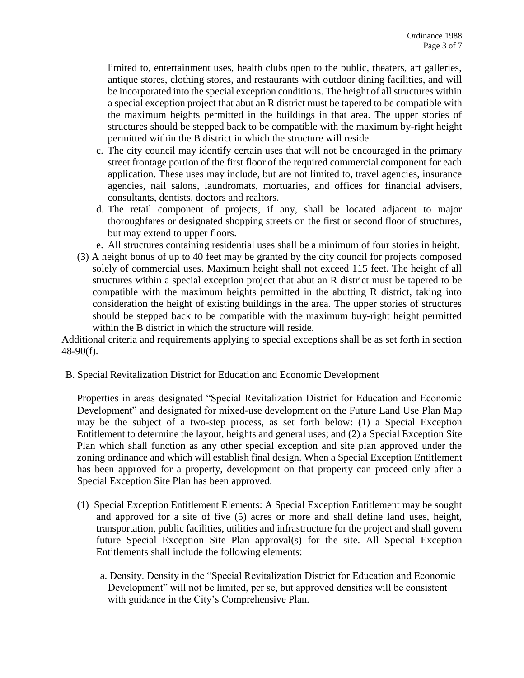limited to, entertainment uses, health clubs open to the public, theaters, art galleries, antique stores, clothing stores, and restaurants with outdoor dining facilities, and will be incorporated into the special exception conditions. The height of all structures within a special exception project that abut an R district must be tapered to be compatible with the maximum heights permitted in the buildings in that area. The upper stories of structures should be stepped back to be compatible with the maximum by-right height permitted within the B district in which the structure will reside.

- c. The city council may identify certain uses that will not be encouraged in the primary street frontage portion of the first floor of the required commercial component for each application. These uses may include, but are not limited to, travel agencies, insurance agencies, nail salons, laundromats, mortuaries, and offices for financial advisers, consultants, dentists, doctors and realtors.
- d. The retail component of projects, if any, shall be located adjacent to major thoroughfares or designated shopping streets on the first or second floor of structures, but may extend to upper floors.
- e. All structures containing residential uses shall be a minimum of four stories in height.
- (3) A height bonus of up to 40 feet may be granted by the city council for projects composed solely of commercial uses. Maximum height shall not exceed 115 feet. The height of all structures within a special exception project that abut an R district must be tapered to be compatible with the maximum heights permitted in the abutting R district, taking into consideration the height of existing buildings in the area. The upper stories of structures should be stepped back to be compatible with the maximum buy-right height permitted within the B district in which the structure will reside.

Additional criteria and requirements applying to special exceptions shall be as set forth in section 48-90(f).

B. Special Revitalization District for Education and Economic Development

Properties in areas designated "Special Revitalization District for Education and Economic Development" and designated for mixed-use development on the Future Land Use Plan Map may be the subject of a two-step process, as set forth below: (1) a Special Exception Entitlement to determine the layout, heights and general uses; and (2) a Special Exception Site Plan which shall function as any other special exception and site plan approved under the zoning ordinance and which will establish final design. When a Special Exception Entitlement has been approved for a property, development on that property can proceed only after a Special Exception Site Plan has been approved.

- (1) Special Exception Entitlement Elements: A Special Exception Entitlement may be sought and approved for a site of five (5) acres or more and shall define land uses, height, transportation, public facilities, utilities and infrastructure for the project and shall govern future Special Exception Site Plan approval(s) for the site. All Special Exception Entitlements shall include the following elements:
	- a. Density. Density in the "Special Revitalization District for Education and Economic Development" will not be limited, per se, but approved densities will be consistent with guidance in the City's Comprehensive Plan.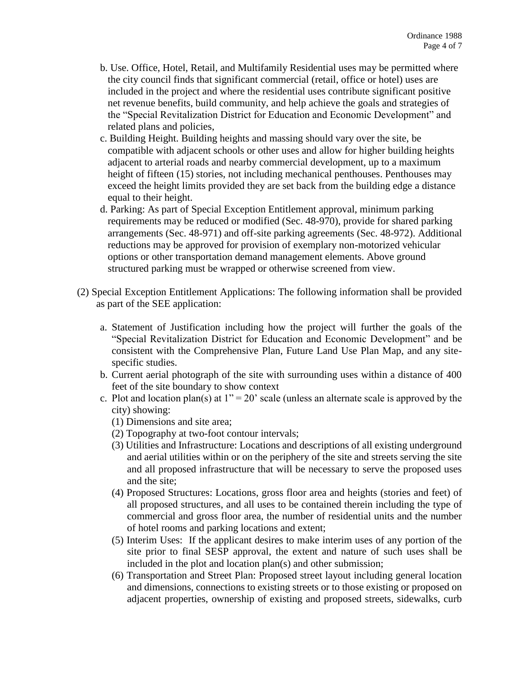- b. Use. Office, Hotel, Retail, and Multifamily Residential uses may be permitted where the city council finds that significant commercial (retail, office or hotel) uses are included in the project and where the residential uses contribute significant positive net revenue benefits, build community, and help achieve the goals and strategies of the "Special Revitalization District for Education and Economic Development" and related plans and policies,
- c. Building Height. Building heights and massing should vary over the site, be compatible with adjacent schools or other uses and allow for higher building heights adjacent to arterial roads and nearby commercial development, up to a maximum height of fifteen (15) stories, not including mechanical penthouses. Penthouses may exceed the height limits provided they are set back from the building edge a distance equal to their height.
- d. Parking: As part of Special Exception Entitlement approval, minimum parking requirements may be reduced or modified (Sec. 48-970), provide for shared parking arrangements (Sec. 48-971) and off-site parking agreements (Sec. 48-972). Additional reductions may be approved for provision of exemplary non-motorized vehicular options or other transportation demand management elements. Above ground structured parking must be wrapped or otherwise screened from view.
- (2) Special Exception Entitlement Applications: The following information shall be provided as part of the SEE application:
	- a. Statement of Justification including how the project will further the goals of the "Special Revitalization District for Education and Economic Development" and be consistent with the Comprehensive Plan, Future Land Use Plan Map, and any sitespecific studies.
	- b. Current aerial photograph of the site with surrounding uses within a distance of 400 feet of the site boundary to show context
	- c. Plot and location plan(s) at  $1'' = 20'$  scale (unless an alternate scale is approved by the city) showing:
		- (1) Dimensions and site area;
		- (2) Topography at two-foot contour intervals;
		- (3) Utilities and Infrastructure: Locations and descriptions of all existing underground and aerial utilities within or on the periphery of the site and streets serving the site and all proposed infrastructure that will be necessary to serve the proposed uses and the site;
		- (4) Proposed Structures: Locations, gross floor area and heights (stories and feet) of all proposed structures, and all uses to be contained therein including the type of commercial and gross floor area, the number of residential units and the number of hotel rooms and parking locations and extent;
		- (5) Interim Uses: If the applicant desires to make interim uses of any portion of the site prior to final SESP approval, the extent and nature of such uses shall be included in the plot and location plan(s) and other submission;
		- (6) Transportation and Street Plan: Proposed street layout including general location and dimensions, connections to existing streets or to those existing or proposed on adjacent properties, ownership of existing and proposed streets, sidewalks, curb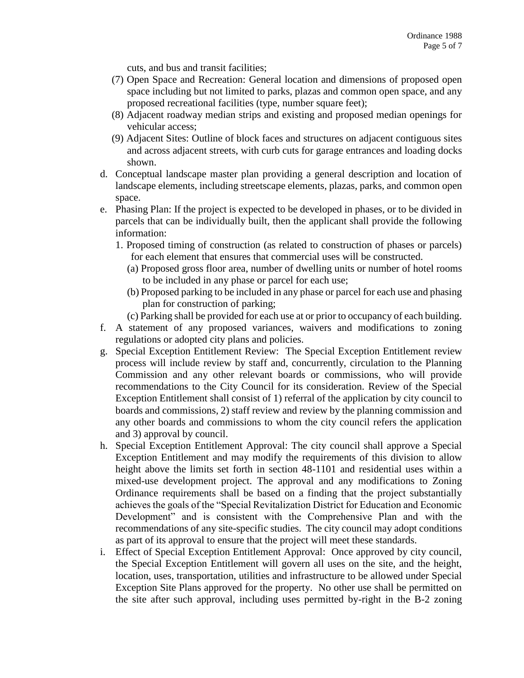cuts, and bus and transit facilities;

- (7) Open Space and Recreation: General location and dimensions of proposed open space including but not limited to parks, plazas and common open space, and any proposed recreational facilities (type, number square feet);
- (8) Adjacent roadway median strips and existing and proposed median openings for vehicular access;
- (9) Adjacent Sites: Outline of block faces and structures on adjacent contiguous sites and across adjacent streets, with curb cuts for garage entrances and loading docks shown.
- d. Conceptual landscape master plan providing a general description and location of landscape elements, including streetscape elements, plazas, parks, and common open space.
- e. Phasing Plan: If the project is expected to be developed in phases, or to be divided in parcels that can be individually built, then the applicant shall provide the following information:
	- 1. Proposed timing of construction (as related to construction of phases or parcels) for each element that ensures that commercial uses will be constructed.
		- (a) Proposed gross floor area, number of dwelling units or number of hotel rooms to be included in any phase or parcel for each use;
		- (b) Proposed parking to be included in any phase or parcel for each use and phasing plan for construction of parking;
		- (c) Parking shall be provided for each use at or prior to occupancy of each building.
- f. A statement of any proposed variances, waivers and modifications to zoning regulations or adopted city plans and policies.
- g. Special Exception Entitlement Review: The Special Exception Entitlement review process will include review by staff and, concurrently, circulation to the Planning Commission and any other relevant boards or commissions, who will provide recommendations to the City Council for its consideration. Review of the Special Exception Entitlement shall consist of 1) referral of the application by city council to boards and commissions, 2) staff review and review by the planning commission and any other boards and commissions to whom the city council refers the application and 3) approval by council.
- h. Special Exception Entitlement Approval: The city council shall approve a Special Exception Entitlement and may modify the requirements of this division to allow height above the limits set forth in section 48-1101 and residential uses within a mixed-use development project. The approval and any modifications to Zoning Ordinance requirements shall be based on a finding that the project substantially achieves the goals of the "Special Revitalization District for Education and Economic Development" and is consistent with the Comprehensive Plan and with the recommendations of any site-specific studies. The city council may adopt conditions as part of its approval to ensure that the project will meet these standards.
- i. Effect of Special Exception Entitlement Approval: Once approved by city council, the Special Exception Entitlement will govern all uses on the site, and the height, location, uses, transportation, utilities and infrastructure to be allowed under Special Exception Site Plans approved for the property. No other use shall be permitted on the site after such approval, including uses permitted by-right in the B-2 zoning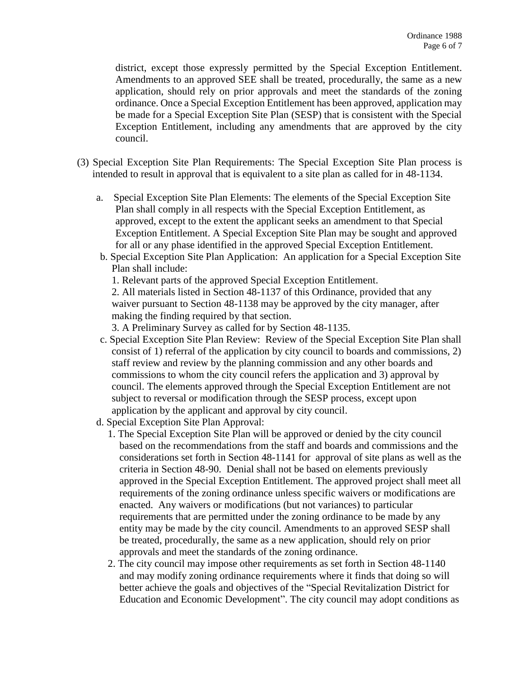district, except those expressly permitted by the Special Exception Entitlement. Amendments to an approved SEE shall be treated, procedurally, the same as a new application, should rely on prior approvals and meet the standards of the zoning ordinance. Once a Special Exception Entitlement has been approved, application may be made for a Special Exception Site Plan (SESP) that is consistent with the Special Exception Entitlement, including any amendments that are approved by the city council.

- (3) Special Exception Site Plan Requirements: The Special Exception Site Plan process is intended to result in approval that is equivalent to a site plan as called for in 48-1134.
	- a. Special Exception Site Plan Elements: The elements of the Special Exception Site Plan shall comply in all respects with the Special Exception Entitlement, as approved, except to the extent the applicant seeks an amendment to that Special Exception Entitlement. A Special Exception Site Plan may be sought and approved for all or any phase identified in the approved Special Exception Entitlement.
	- b. Special Exception Site Plan Application: An application for a Special Exception Site Plan shall include:

1. Relevant parts of the approved Special Exception Entitlement.

2. All materials listed in Section 48-1137 of this Ordinance, provided that any waiver pursuant to Section 48-1138 may be approved by the city manager, after making the finding required by that section.

3. A Preliminary Survey as called for by Section 48-1135.

- c. Special Exception Site Plan Review: Review of the Special Exception Site Plan shall consist of 1) referral of the application by city council to boards and commissions, 2) staff review and review by the planning commission and any other boards and commissions to whom the city council refers the application and 3) approval by council. The elements approved through the Special Exception Entitlement are not subject to reversal or modification through the SESP process, except upon application by the applicant and approval by city council.
- d. Special Exception Site Plan Approval:
	- 1. The Special Exception Site Plan will be approved or denied by the city council based on the recommendations from the staff and boards and commissions and the considerations set forth in Section 48-1141 for approval of site plans as well as the criteria in Section 48-90. Denial shall not be based on elements previously approved in the Special Exception Entitlement. The approved project shall meet all requirements of the zoning ordinance unless specific waivers or modifications are enacted. Any waivers or modifications (but not variances) to particular requirements that are permitted under the zoning ordinance to be made by any entity may be made by the city council. Amendments to an approved SESP shall be treated, procedurally, the same as a new application, should rely on prior approvals and meet the standards of the zoning ordinance.
	- 2. The city council may impose other requirements as set forth in Section 48-1140 and may modify zoning ordinance requirements where it finds that doing so will better achieve the goals and objectives of the "Special Revitalization District for Education and Economic Development". The city council may adopt conditions as